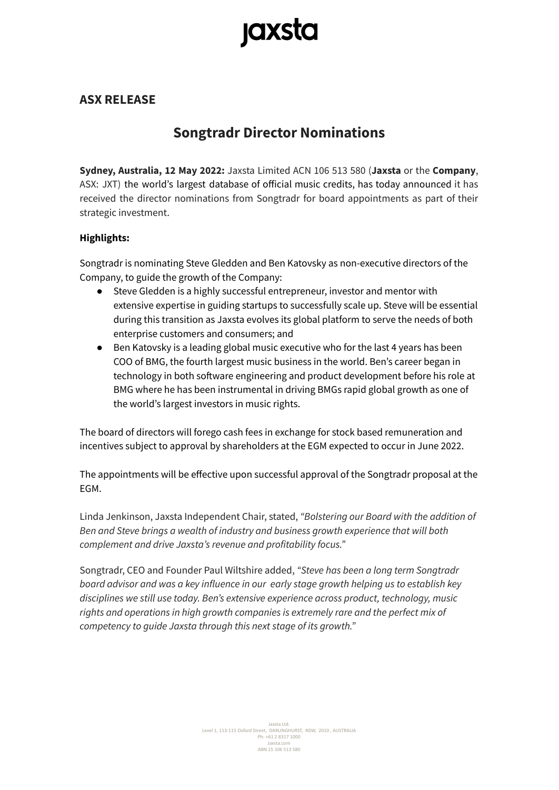# **jaxsta**

### **ASX RELEASE**

## **Songtradr Director Nominations**

**Sydney, Australia, 12 May 2022:** Jaxsta Limited ACN 106 513 580 (**Jaxsta** or the **Company**, ASX: JXT) the world's largest database of official music credits, has today announced it has received the director nominations from Songtradr for board appointments as part of their strategic investment.

#### **Highlights:**

Songtradr is nominating Steve Gledden and Ben Katovsky as non-executive directors of the Company, to guide the growth of the Company:

- Steve Gledden is a highly successful entrepreneur, investor and mentor with extensive expertise in guiding startups to successfully scale up. Steve will be essential during this transition as Jaxsta evolves its global platform to serve the needs of both enterprise customers and consumers; and
- Ben Katovsky is a leading global music executive who for the last 4 years has been COO of BMG, the fourth largest music business in the world. Ben's career began in technology in both software engineering and product development before his role at BMG where he has been instrumental in driving BMGs rapid global growth as one of the world's largest investors in music rights.

The board of directors will forego cash fees in exchange for stock based remuneration and incentives subject to approval by shareholders at the EGM expected to occur in June 2022.

The appointments will be effective upon successful approval of the Songtradr proposal at the EGM.

Linda Jenkinson, Jaxsta Independent Chair, stated, *"Bolstering our Board with the addition of Ben and Steve brings a wealth of industry and business growth experience that will both complement and drive Jaxsta's revenue and profitability focus."*

Songtradr, CEO and Founder Paul Wiltshire added, *"Steve has been a long term Songtradr board advisor and was a key influence in our early stage growth helping us to establish key disciplines we still use today. Ben's extensive experience across product, technology, music rights and operations in high growth companies is extremely rare and the perfect mix of competency to guide Jaxsta through this next stage of its growth."*